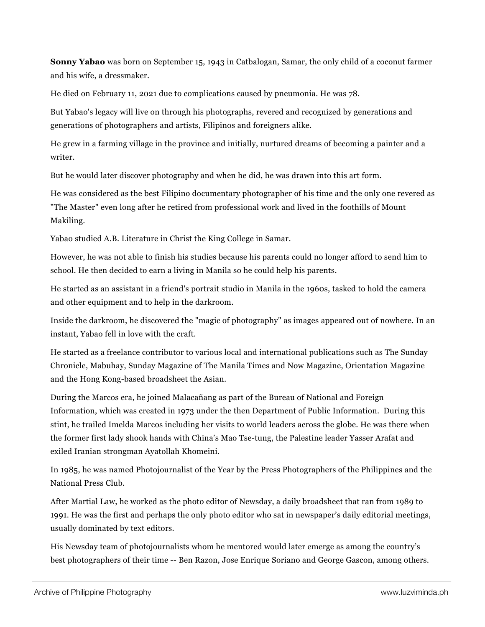**Sonny Yabao** was born on September 15, 1943 in Catbalogan, Samar, the only child of a coconut farmer and his wife, a dressmaker.

He died on February 11, 2021 due to complications caused by pneumonia. He was 78.

But Yabao's legacy will live on through his photographs, revered and recognized by generations and generations of photographers and artists, Filipinos and foreigners alike.

He grew in a farming village in the province and initially, nurtured dreams of becoming a painter and a writer.

But he would later discover photography and when he did, he was drawn into this art form.

He was considered as the best Filipino documentary photographer of his time and the only one revered as "The Master" even long after he retired from professional work and lived in the foothills of Mount Makiling.

Yabao studied A.B. Literature in Christ the King College in Samar.

However, he was not able to finish his studies because his parents could no longer afford to send him to school. He then decided to earn a living in Manila so he could help his parents.

He started as an assistant in a friend's portrait studio in Manila in the 1960s, tasked to hold the camera and other equipment and to help in the darkroom.

Inside the darkroom, he discovered the "magic of photography" as images appeared out of nowhere. In an instant, Yabao fell in love with the craft.

He started as a freelance contributor to various local and international publications such as The Sunday Chronicle, Mabuhay, Sunday Magazine of The Manila Times and Now Magazine, Orientation Magazine and the Hong Kong-based broadsheet the Asian.

During the Marcos era, he joined Malacañang as part of the Bureau of National and Foreign Information, which was created in 1973 under the then Department of Public Information. During this stint, he trailed Imelda Marcos including her visits to world leaders across the globe. He was there when the former first lady shook hands with China's Mao Tse-tung, the Palestine leader Yasser Arafat and exiled Iranian strongman Ayatollah Khomeini.

In 1985, he was named Photojournalist of the Year by the Press Photographers of the Philippines and the National Press Club.

After Martial Law, he worked as the photo editor of Newsday, a daily broadsheet that ran from 1989 to 1991. He was the first and perhaps the only photo editor who sat in newspaper's daily editorial meetings, usually dominated by text editors.

His Newsday team of photojournalists whom he mentored would later emerge as among the country's best photographers of their time -- Ben Razon, Jose Enrique Soriano and George Gascon, among others.